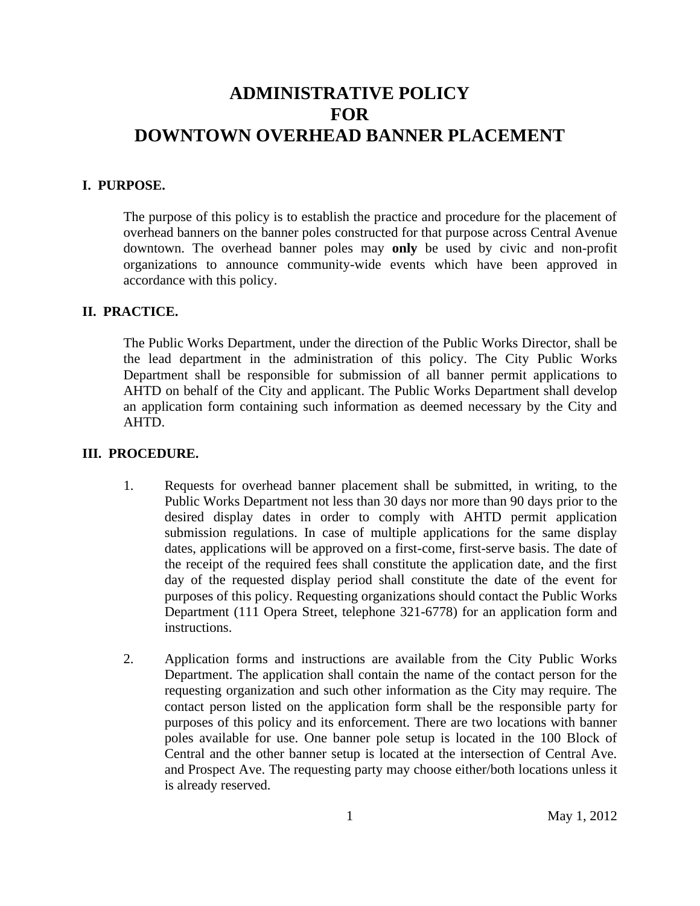## **ADMINISTRATIVE POLICY FOR DOWNTOWN OVERHEAD BANNER PLACEMENT**

## **I. PURPOSE.**

The purpose of this policy is to establish the practice and procedure for the placement of overhead banners on the banner poles constructed for that purpose across Central Avenue downtown. The overhead banner poles may **only** be used by civic and non-profit organizations to announce community-wide events which have been approved in accordance with this policy.

#### **II. PRACTICE.**

The Public Works Department, under the direction of the Public Works Director, shall be the lead department in the administration of this policy. The City Public Works Department shall be responsible for submission of all banner permit applications to AHTD on behalf of the City and applicant. The Public Works Department shall develop an application form containing such information as deemed necessary by the City and AHTD.

### **III. PROCEDURE.**

- 1. Requests for overhead banner placement shall be submitted, in writing, to the Public Works Department not less than 30 days nor more than 90 days prior to the desired display dates in order to comply with AHTD permit application submission regulations. In case of multiple applications for the same display dates, applications will be approved on a first-come, first-serve basis. The date of the receipt of the required fees shall constitute the application date, and the first day of the requested display period shall constitute the date of the event for purposes of this policy. Requesting organizations should contact the Public Works Department (111 Opera Street, telephone 321-6778) for an application form and instructions.
- 2. Application forms and instructions are available from the City Public Works Department. The application shall contain the name of the contact person for the requesting organization and such other information as the City may require. The contact person listed on the application form shall be the responsible party for purposes of this policy and its enforcement. There are two locations with banner poles available for use. One banner pole setup is located in the 100 Block of Central and the other banner setup is located at the intersection of Central Ave. and Prospect Ave. The requesting party may choose either/both locations unless it is already reserved.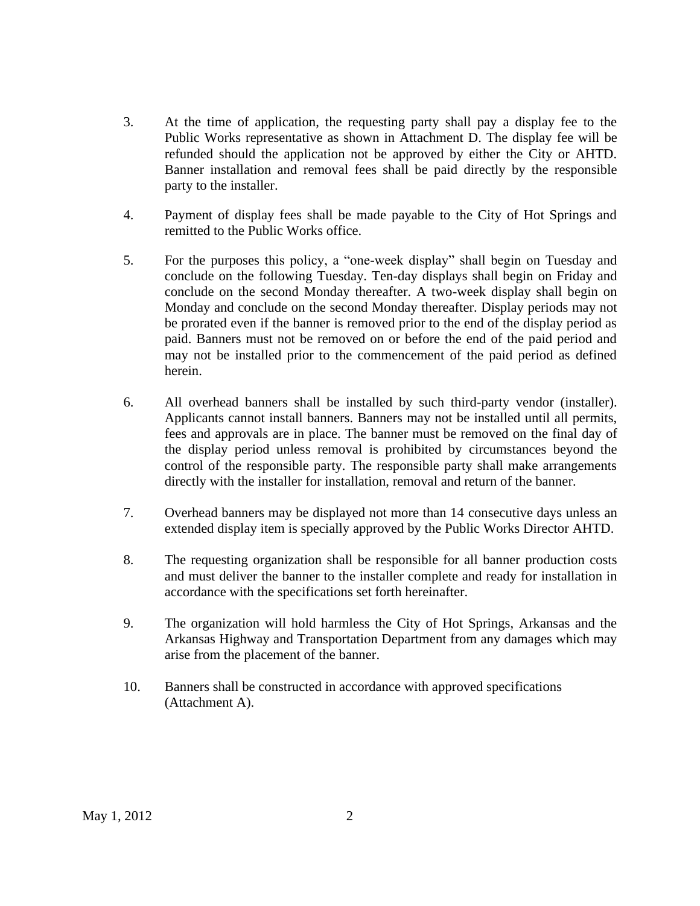- 3. At the time of application, the requesting party shall pay a display fee to the Public Works representative as shown in Attachment D. The display fee will be refunded should the application not be approved by either the City or AHTD. Banner installation and removal fees shall be paid directly by the responsible party to the installer.
- 4. Payment of display fees shall be made payable to the City of Hot Springs and remitted to the Public Works office.
- 5. For the purposes this policy, a "one-week display" shall begin on Tuesday and conclude on the following Tuesday. Ten-day displays shall begin on Friday and conclude on the second Monday thereafter. A two-week display shall begin on Monday and conclude on the second Monday thereafter. Display periods may not be prorated even if the banner is removed prior to the end of the display period as paid. Banners must not be removed on or before the end of the paid period and may not be installed prior to the commencement of the paid period as defined herein.
- 6. All overhead banners shall be installed by such third-party vendor (installer). Applicants cannot install banners. Banners may not be installed until all permits, fees and approvals are in place. The banner must be removed on the final day of the display period unless removal is prohibited by circumstances beyond the control of the responsible party. The responsible party shall make arrangements directly with the installer for installation, removal and return of the banner.
- 7. Overhead banners may be displayed not more than 14 consecutive days unless an extended display item is specially approved by the Public Works Director AHTD.
- 8. The requesting organization shall be responsible for all banner production costs and must deliver the banner to the installer complete and ready for installation in accordance with the specifications set forth hereinafter.
- 9. The organization will hold harmless the City of Hot Springs, Arkansas and the Arkansas Highway and Transportation Department from any damages which may arise from the placement of the banner.
- 10. Banners shall be constructed in accordance with approved specifications (Attachment A).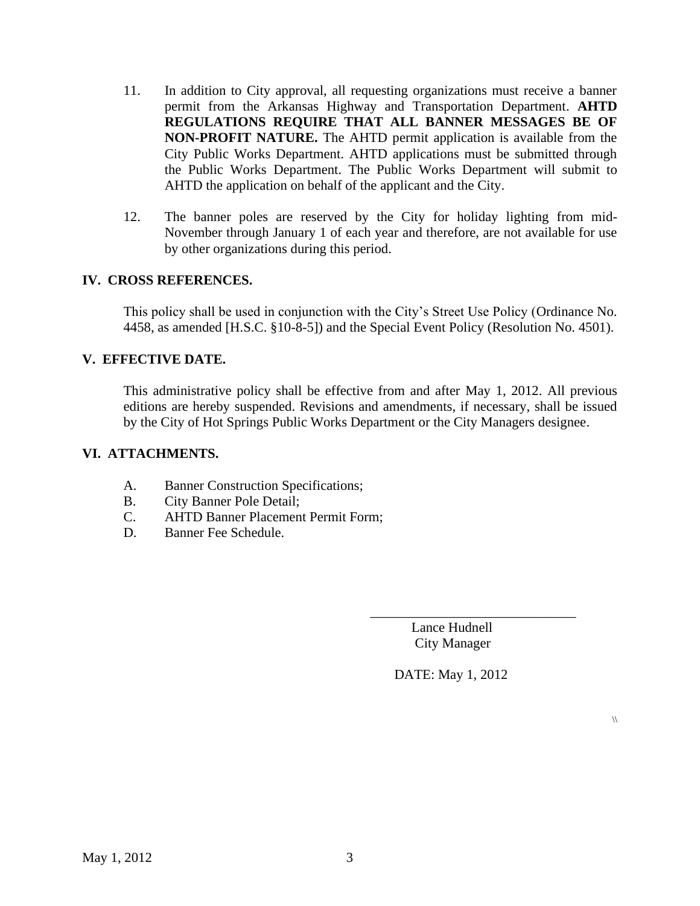- 11. In addition to City approval, all requesting organizations must receive a banner permit from the Arkansas Highway and Transportation Department. **AHTD REGULATIONS REQUIRE THAT ALL BANNER MESSAGES BE OF NON-PROFIT NATURE.** The AHTD permit application is available from the City Public Works Department. AHTD applications must be submitted through the Public Works Department. The Public Works Department will submit to AHTD the application on behalf of the applicant and the City.
- 12. The banner poles are reserved by the City for holiday lighting from mid-November through January 1 of each year and therefore, are not available for use by other organizations during this period.

## **IV. CROSS REFERENCES.**

This policy shall be used in conjunction with the City's Street Use Policy (Ordinance No. 4458, as amended [H.S.C. §10-8-5]) and the Special Event Policy (Resolution No. 4501).

## **V. EFFECTIVE DATE.**

This administrative policy shall be effective from and after May 1, 2012. All previous editions are hereby suspended. Revisions and amendments, if necessary, shall be issued by the City of Hot Springs Public Works Department or the City Managers designee.

## **VI. ATTACHMENTS.**

- A. Banner Construction Specifications;
- B. City Banner Pole Detail;
- C. AHTD Banner Placement Permit Form;
- D. Banner Fee Schedule.

 Lance Hudnell City Manager

\_\_\_\_\_\_\_\_\_\_\_\_\_\_\_\_\_\_\_\_\_\_\_\_\_\_\_\_\_\_

DATE: May 1, 2012

 $\sqrt{ }$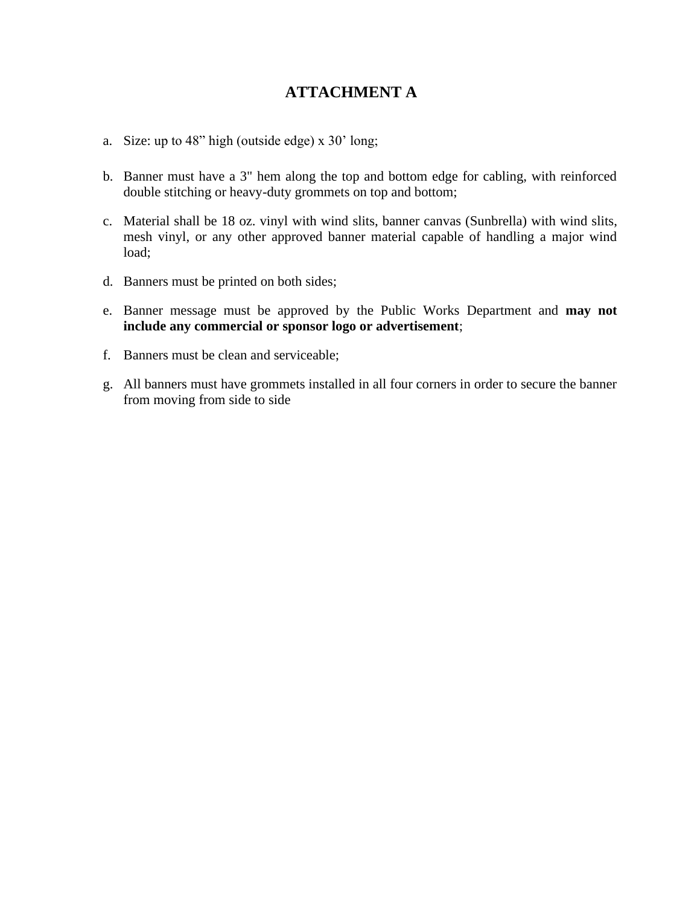## **ATTACHMENT A**

- a. Size: up to 48" high (outside edge) x 30' long;
- b. Banner must have a 3" hem along the top and bottom edge for cabling, with reinforced double stitching or heavy-duty grommets on top and bottom;
- c. Material shall be 18 oz. vinyl with wind slits, banner canvas (Sunbrella) with wind slits, mesh vinyl, or any other approved banner material capable of handling a major wind load;
- d. Banners must be printed on both sides;
- e. Banner message must be approved by the Public Works Department and **may not include any commercial or sponsor logo or advertisement**;
- f. Banners must be clean and serviceable;
- g. All banners must have grommets installed in all four corners in order to secure the banner from moving from side to side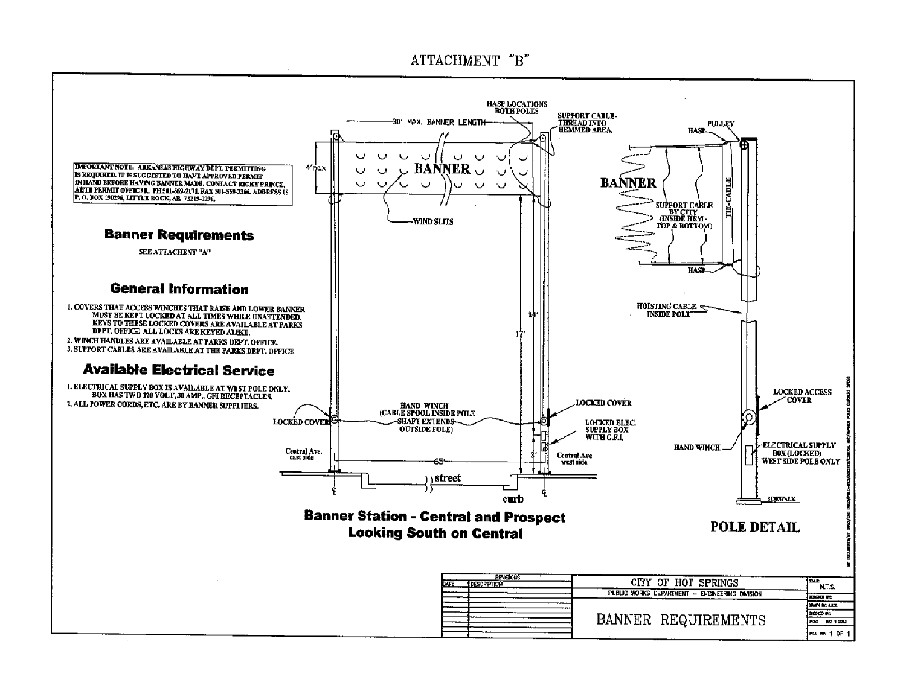## ATTACHMENT "B"

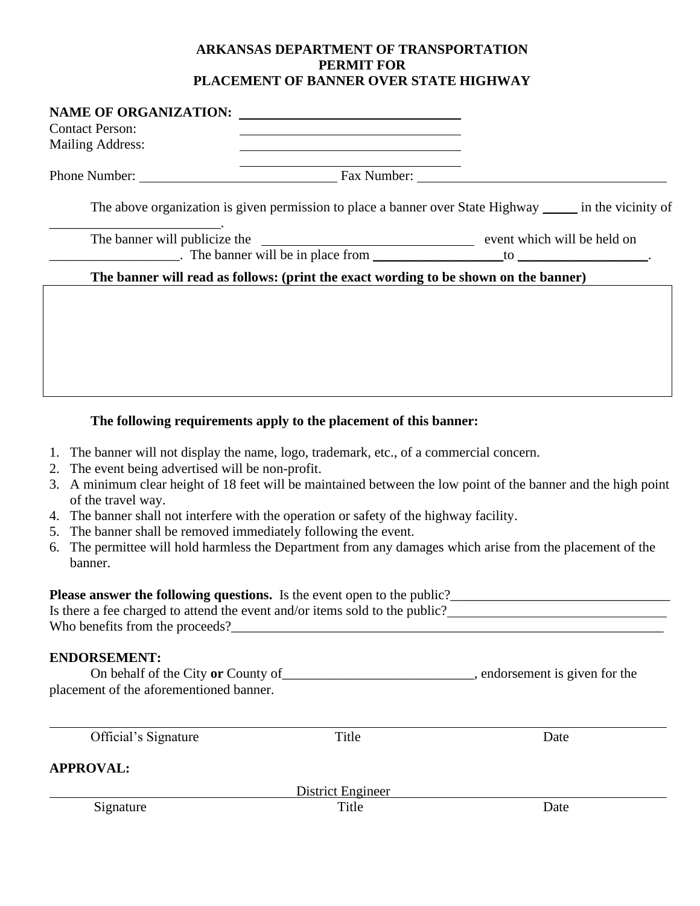## **ARKANSAS DEPARTMENT OF TRANSPORTATION PERMIT FOR PLACEMENT OF BANNER OVER STATE HIGHWAY**

| <b>Contact Person:</b>  |                                                                                                                                                                                                                                               |  |
|-------------------------|-----------------------------------------------------------------------------------------------------------------------------------------------------------------------------------------------------------------------------------------------|--|
| <b>Mailing Address:</b> | <u> 1989 - Johann Stein, marwolaethau a bhann an t-Amhain Aonaichte ann an t-Amhain Aonaichte ann an t-Amhain Aon</u><br><u> 1980 - Johann Barn, mars ann an t-Amhain Aonaich an t-Aonaich an t-Aonaich ann an t-Aonaich ann an t-Aonaich</u> |  |
|                         | Phone Number: Fax Number: Fax Number:                                                                                                                                                                                                         |  |
|                         | The above organization is given permission to place a banner over State Highway ______ in the vicinity of                                                                                                                                     |  |
|                         |                                                                                                                                                                                                                                               |  |
|                         | $\blacksquare$ The banner will be in place from $\blacksquare$ to $\blacksquare$                                                                                                                                                              |  |
|                         | The banner will read as follows: (print the exact wording to be shown on the banner)                                                                                                                                                          |  |
|                         |                                                                                                                                                                                                                                               |  |
|                         |                                                                                                                                                                                                                                               |  |
|                         |                                                                                                                                                                                                                                               |  |
|                         |                                                                                                                                                                                                                                               |  |
|                         |                                                                                                                                                                                                                                               |  |
|                         |                                                                                                                                                                                                                                               |  |
|                         | The following requirements apply to the placement of this banner:                                                                                                                                                                             |  |

- 1. The banner will not display the name, logo, trademark, etc., of a commercial concern.
- 2. The event being advertised will be non-profit.
- 3. A minimum clear height of 18 feet will be maintained between the low point of the banner and the high point of the travel way.
- 4. The banner shall not interfere with the operation or safety of the highway facility.
- 5. The banner shall be removed immediately following the event.
- 6. The permittee will hold harmless the Department from any damages which arise from the placement of the banner.

## **Please answer the following questions.** Is the event open to the public?

| Is there a fee charged to attend the event and/or items sold to the public? |  |  |  |
|-----------------------------------------------------------------------------|--|--|--|
| Who benefits from the proceeds?                                             |  |  |  |

## **ENDORSEMENT:**

| On behalf of the City or County of      | , endorsement is given for the |
|-----------------------------------------|--------------------------------|
| placement of the aforementioned banner. |                                |

| Official's Signature | Title             | Date |
|----------------------|-------------------|------|
| <b>APPROVAL:</b>     |                   |      |
|                      | District Engineer |      |
| Signature            | Title             | Date |